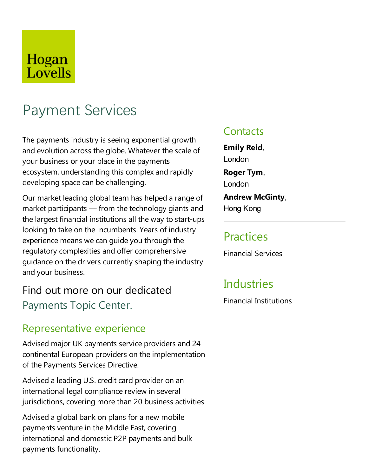# Hogan Lovells

# Payment Services

The payments industry is seeing exponential growth and evolution across the globe. Whatever the scale of your business or your place in the payments ecosystem, understanding this complex and rapidly developing space can be challenging.

Our market leading global team has helped arange of market participants — from the technology giants and the largest financial institutions all the way to start-ups looking to take on the incumbents. Years of industry experience means we can guide you through the regulatory complexities and offer comprehensive guidance on the drivers currently shaping the industry and your business.

# Find out more on our dedicated Payments Topic Center.

### Representative experience

Advised major UK payments service providers and 24 continental European providers on the implementation of the Payments Services Directive.

Advised a leading U.S. credit card provider on an international legal compliance review in several jurisdictions, covering more than 20 business activities.

Advised a global bank on plans for a new mobile payments venture in the Middle East, covering international and domestic P2P payments and bulk payments functionality.

### **Contacts**

**Emily Reid**, London **Roger Tym**,

London

**Andrew McGinty**, Hong Kong

### **Practices**

Financial Services

# **Industries**

Financial Institutions